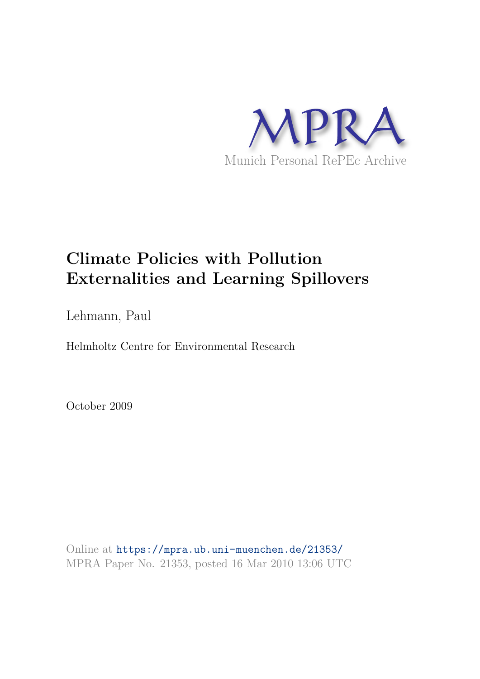

### **Climate Policies with Pollution Externalities and Learning Spillovers**

Lehmann, Paul

Helmholtz Centre for Environmental Research

October 2009

Online at https://mpra.ub.uni-muenchen.de/21353/ MPRA Paper No. 21353, posted 16 Mar 2010 13:06 UTC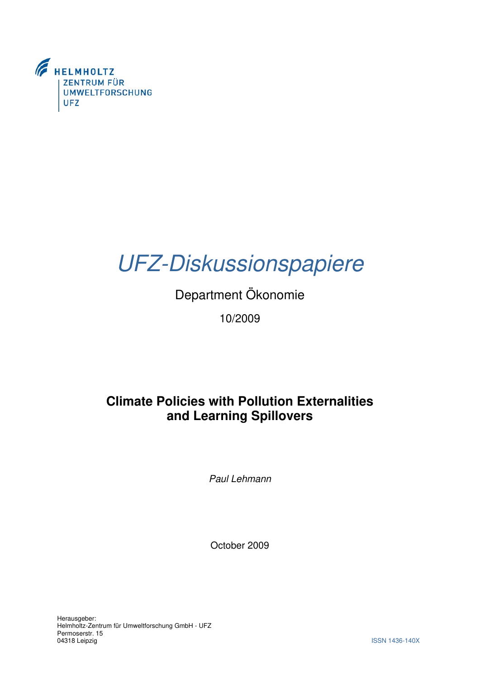

# UFZ-Diskussionspapiere

## Department Ökonomie 10/2009

### **Climate Policies with Pollution Externalities and Learning Spillovers**

Paul Lehmann

October 2009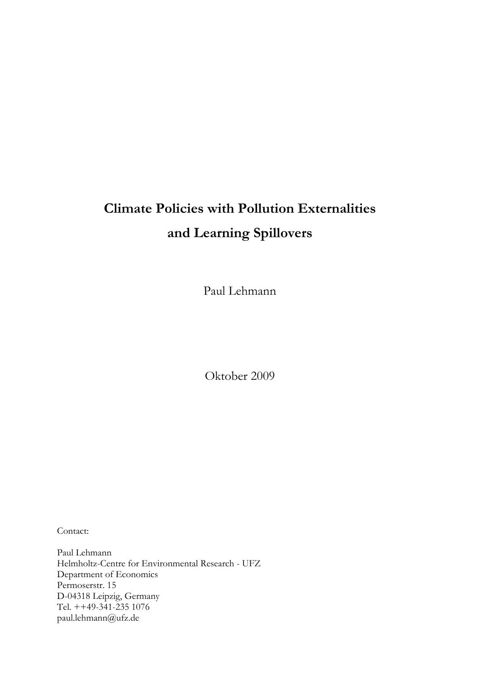# **Climate Policies with Pollution Externalities and Learning Spillovers**

Paul Lehmann

Oktober 2009

Contact:

Paul Lehmann Helmholtz-Centre for Environmental Research - UFZ Department of Economics Permoserstr. 15 D-04318 Leipzig, Germany Tel. ++49-341-235 1076 paul.lehmann@ufz.de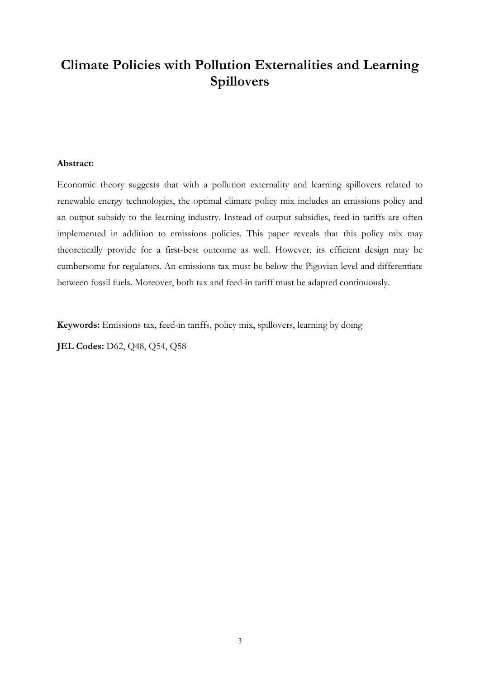### **Climate Policies with Pollution Externalities and Learning Spillovers**

#### **Abstract:**

Economic theory suggests that with a pollution externality and learning spillovers related to renewable energy technologies, the optimal climate policy mix includes an emissions policy and an output subsidy to the learning industry. Instead of output subsidies, feed-in tariffs are often implemented in addition to emissions policies. This paper reveals that this policy mix may theoretically provide for a first-best outcome as well. However, its efficient design may be cumbersome for regulators. An emissions tax must be below the Pigovian level and differentiate between fossil fuels. Moreover, both tax and feed-in tariff must be adapted continuously.

**Keywords:** Emissions tax, feed-in tariffs, policy mix, spillovers, learning by doing

**JEL Codes:** D62, Q48, Q54, Q58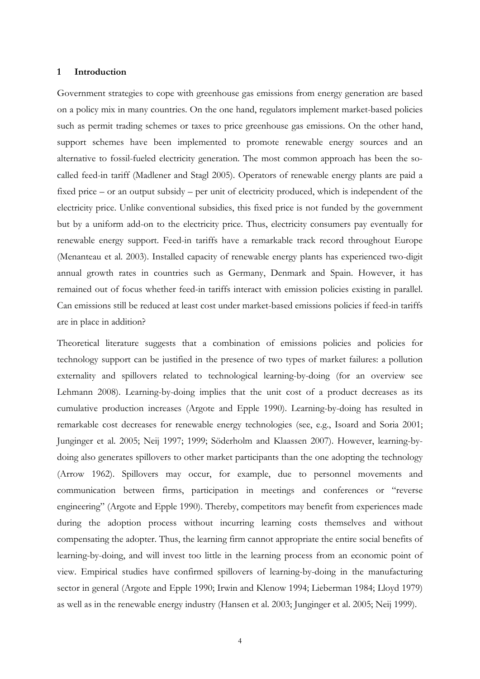#### **1 Introduction**

Government strategies to cope with greenhouse gas emissions from energy generation are based on a policy mix in many countries. On the one hand, regulators implement market-based policies such as permit trading schemes or taxes to price greenhouse gas emissions. On the other hand, support schemes have been implemented to promote renewable energy sources and an alternative to fossil-fueled electricity generation. The most common approach has been the socalled feed-in tariff (Madlener and Stagl 2005). Operators of renewable energy plants are paid a fixed price – or an output subsidy – per unit of electricity produced, which is independent of the electricity price. Unlike conventional subsidies, this fixed price is not funded by the government but by a uniform add-on to the electricity price. Thus, electricity consumers pay eventually for renewable energy support. Feed-in tariffs have a remarkable track record throughout Europe (Menanteau et al. 2003). Installed capacity of renewable energy plants has experienced two-digit annual growth rates in countries such as Germany, Denmark and Spain. However, it has remained out of focus whether feed-in tariffs interact with emission policies existing in parallel. Can emissions still be reduced at least cost under market-based emissions policies if feed-in tariffs are in place in addition?

Theoretical literature suggests that a combination of emissions policies and policies for technology support can be justified in the presence of two types of market failures: a pollution externality and spillovers related to technological learning-by-doing (for an overview see Lehmann 2008). Learning-by-doing implies that the unit cost of a product decreases as its cumulative production increases (Argote and Epple 1990). Learning-by-doing has resulted in remarkable cost decreases for renewable energy technologies (see, e.g., Isoard and Soria 2001; Junginger et al. 2005; Neij 1997; 1999; Söderholm and Klaassen 2007). However, learning-bydoing also generates spillovers to other market participants than the one adopting the technology (Arrow 1962). Spillovers may occur, for example, due to personnel movements and communication between firms, participation in meetings and conferences or "reverse engineering" (Argote and Epple 1990). Thereby, competitors may benefit from experiences made during the adoption process without incurring learning costs themselves and without compensating the adopter. Thus, the learning firm cannot appropriate the entire social benefits of learning-by-doing, and will invest too little in the learning process from an economic point of view. Empirical studies have confirmed spillovers of learning-by-doing in the manufacturing sector in general (Argote and Epple 1990; Irwin and Klenow 1994; Lieberman 1984; Lloyd 1979) as well as in the renewable energy industry (Hansen et al. 2003; Junginger et al. 2005; Neij 1999).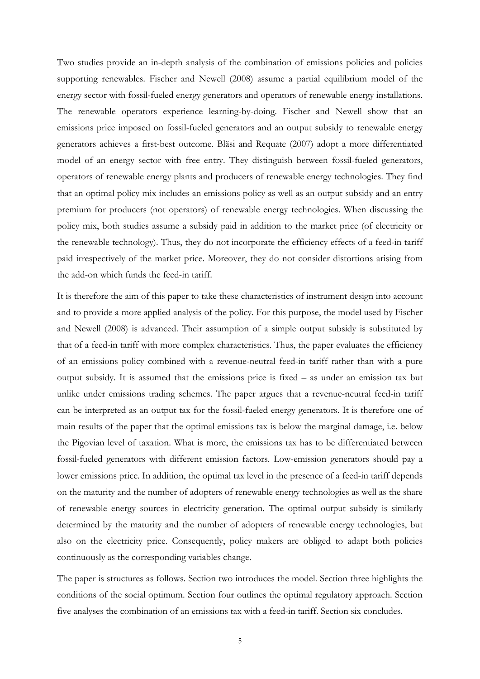Two studies provide an in-depth analysis of the combination of emissions policies and policies supporting renewables. Fischer and Newell (2008) assume a partial equilibrium model of the energy sector with fossil-fueled energy generators and operators of renewable energy installations. The renewable operators experience learning-by-doing. Fischer and Newell show that an emissions price imposed on fossil-fueled generators and an output subsidy to renewable energy generators achieves a first-best outcome. Bläsi and Requate (2007) adopt a more differentiated model of an energy sector with free entry. They distinguish between fossil-fueled generators, operators of renewable energy plants and producers of renewable energy technologies. They find that an optimal policy mix includes an emissions policy as well as an output subsidy and an entry premium for producers (not operators) of renewable energy technologies. When discussing the policy mix, both studies assume a subsidy paid in addition to the market price (of electricity or the renewable technology). Thus, they do not incorporate the efficiency effects of a feed-in tariff paid irrespectively of the market price. Moreover, they do not consider distortions arising from the add-on which funds the feed-in tariff.

It is therefore the aim of this paper to take these characteristics of instrument design into account and to provide a more applied analysis of the policy. For this purpose, the model used by Fischer and Newell (2008) is advanced. Their assumption of a simple output subsidy is substituted by that of a feed-in tariff with more complex characteristics. Thus, the paper evaluates the efficiency of an emissions policy combined with a revenue-neutral feed-in tariff rather than with a pure output subsidy. It is assumed that the emissions price is fixed – as under an emission tax but unlike under emissions trading schemes. The paper argues that a revenue-neutral feed-in tariff can be interpreted as an output tax for the fossil-fueled energy generators. It is therefore one of main results of the paper that the optimal emissions tax is below the marginal damage, i.e. below the Pigovian level of taxation. What is more, the emissions tax has to be differentiated between fossil-fueled generators with different emission factors. Low-emission generators should pay a lower emissions price. In addition, the optimal tax level in the presence of a feed-in tariff depends on the maturity and the number of adopters of renewable energy technologies as well as the share of renewable energy sources in electricity generation. The optimal output subsidy is similarly determined by the maturity and the number of adopters of renewable energy technologies, but also on the electricity price. Consequently, policy makers are obliged to adapt both policies continuously as the corresponding variables change.

The paper is structures as follows. Section two introduces the model. Section three highlights the conditions of the social optimum. Section four outlines the optimal regulatory approach. Section five analyses the combination of an emissions tax with a feed-in tariff. Section six concludes.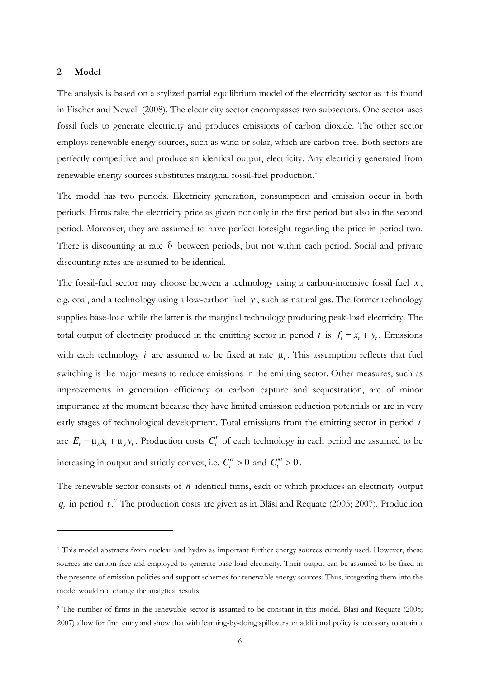#### **2 Model**

-

The analysis is based on a stylized partial equilibrium model of the electricity sector as it is found in Fischer and Newell (2008). The electricity sector encompasses two subsectors. One sector uses fossil fuels to generate electricity and produces emissions of carbon dioxide. The other sector employs renewable energy sources, such as wind or solar, which are carbon-free. Both sectors are perfectly competitive and produce an identical output, electricity. Any electricity generated from renewable energy sources substitutes marginal fossil-fuel production.<sup>[1](#page-6-0)</sup>

The model has two periods. Electricity generation, consumption and emission occur in both periods. Firms take the electricity price as given not only in the first period but also in the second period. Moreover, they are assumed to have perfect foresight regarding the price in period two. There is discounting at rate  $\delta$  between periods, but not within each period. Social and private discounting rates are assumed to be identical.

The fossil-fuel sector may choose between a technology using a carbon-intensive fossil fuel *x* , e.g. coal, and a technology using a low-carbon fuel y, such as natural gas. The former technology supplies base-load while the latter is the marginal technology producing peak-load electricity. The total output of electricity produced in the emitting sector in period *t* is  $f_t = x_t + y_t$ . Emissions with each technology *i* are assumed to be fixed at rate μ*i* . This assumption reflects that fuel switching is the major means to reduce emissions in the emitting sector. Other measures, such as improvements in generation efficiency or carbon capture and sequestration, are of minor importance at the moment because they have limited emission reduction potentials or are in very early stages of technological development. Total emissions from the emitting sector in period *t* are  $E_t = \mu_x x_t + \mu_y y_t$ . Production costs  $C_i^t$  of each technology in each period are assumed to be increasing in output and strictly convex, i.e.  $C_i'' > 0$  and  $C_i'' > 0$ . *i*

The renewable sector consists of  $n$  identical firms, each of which produces an electricity output  $q_t$  in period  $t$ .<sup>[2](#page-6-1)</sup> The production costs are given as in Bläsi and Requate (2005; 2007). Production

<span id="page-6-0"></span><sup>&</sup>lt;sup>1</sup> This model abstracts from nuclear and hydro as important further energy sources currently used. However, these sources are carbon-free and employed to generate base load electricity. Their output can be assumed to be fixed in the presence of emission policies and support schemes for renewable energy sources. Thus, integrating them into the model would not change the analytical results.

<span id="page-6-1"></span><sup>&</sup>lt;sup>2</sup> The number of firms in the renewable sector is assumed to be constant in this model. Bläsi and Requate (2005; 2007) allow for firm entry and show that with learning-by-doing spillovers an additional policy is necessary to attain a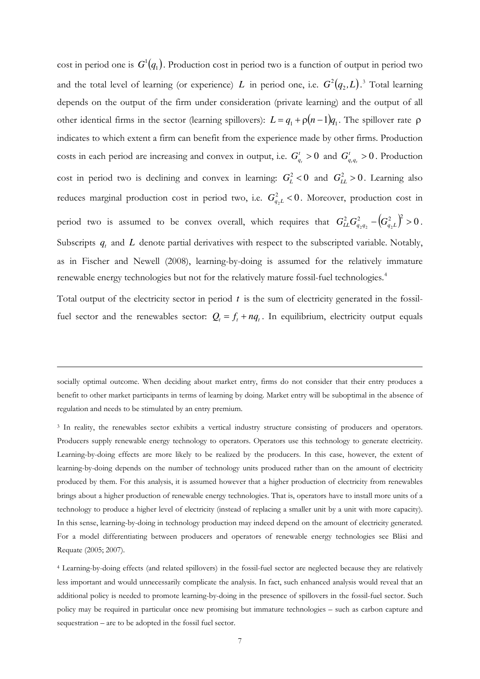cost in period one is  $G^1(q_1)$ . Production cost in period two is a function of output in period two and the total level of learning (or experience) *L* in period one, i.e.  $G^2(q_2,L)$ .<sup>[3](#page-7-0)</sup> Total learning depends on the output of the firm under consideration (private learning) and the output of all other identical firms in the sector (learning spillovers):  $L = q_1 + \rho(n-1)q_1$ . The spillover rate  $\rho$ indicates to which extent a firm can benefit from the experience made by other firms. Production costs in each period are increasing and convex in output, i.e.  $G_a^t > 0$  and  $G_{a,a}^t > 0$ . Production cost in period two is declining and convex in learning:  $G_L^2 < 0$  and  $G_L^2 > 0$ . Learning also reduces marginal production cost in period two, i.e.  $G_{a,L}^2 < 0$ . Moreover, production cost in period two is assumed to be convex overall, which requires that  $G_{LL}^2 G_{q_2q_2}^2 - (G_{q_2L}^2)^2 > 0$ . Subscripts  $q_t$  and  $L$  denote partial derivatives with respect to the subscripted variable. Notably, as in Fischer and Newell (2008), learning-by-doing is assumed for the relatively immature renewable energy technologies but not for the relatively mature fossil-fuel technologies. [4](#page-7-1)  $G_{q_t}^t > 0$  and  $G_{q_t q_t}^t > 0$  $G_{q_2L}^2$  <  $G_{q_{_t}q_{_t}}^t$  $G_{LL}^2 G_{q_2q_2}^2 - \left(G_{q_2L}^2\right)^2 > 0$ 

Total output of the electricity sector in period *t* is the sum of electricity generated in the fossilfuel sector and the renewables sector:  $Q_t = f_t + nq_t$ . In equilibrium, electricity output equals

socially optimal outcome. When deciding about market entry, firms do not consider that their entry produces a benefit to other market participants in terms of learning by doing. Market entry will be suboptimal in the absence of regulation and needs to be stimulated by an entry premium.

-

<span id="page-7-0"></span><sup>3</sup> In reality, the renewables sector exhibits a vertical industry structure consisting of producers and operators. Producers supply renewable energy technology to operators. Operators use this technology to generate electricity. Learning-by-doing effects are more likely to be realized by the producers. In this case, however, the extent of learning-by-doing depends on the number of technology units produced rather than on the amount of electricity produced by them. For this analysis, it is assumed however that a higher production of electricity from renewables brings about a higher production of renewable energy technologies. That is, operators have to install more units of a technology to produce a higher level of electricity (instead of replacing a smaller unit by a unit with more capacity). In this sense, learning-by-doing in technology production may indeed depend on the amount of electricity generated. For a model differentiating between producers and operators of renewable energy technologies see Bläsi and Requate (2005; 2007).

<span id="page-7-1"></span>4 Learning-by-doing effects (and related spillovers) in the fossil-fuel sector are neglected because they are relatively less important and would unnecessarily complicate the analysis. In fact, such enhanced analysis would reveal that an additional policy is needed to promote learning-by-doing in the presence of spillovers in the fossil-fuel sector. Such policy may be required in particular once new promising but immature technologies – such as carbon capture and sequestration – are to be adopted in the fossil fuel sector.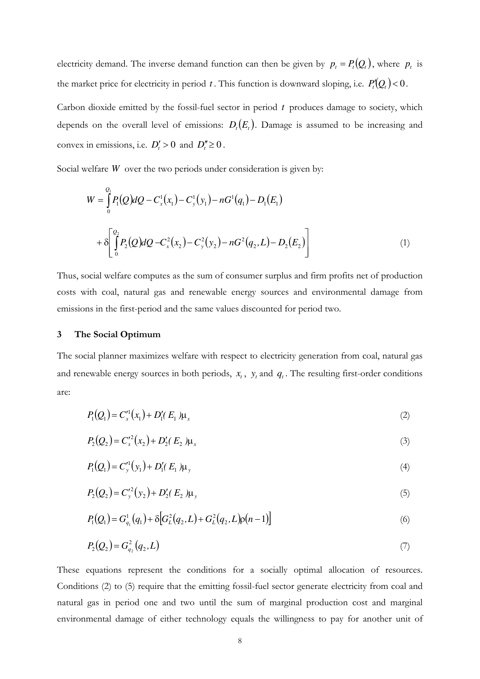electricity demand. The inverse demand function can then be given by  $p_t = P_t(Q_t)$ , where  $p_t$  is the market price for electricity in period t. This function is downward sloping, i.e.  $P_t'(Q_t) < 0$ .

Carbon dioxide emitted by the fossil-fuel sector in period *t* produces damage to society, which depends on the overall level of emissions:  $D_t(E_t)$ . Damage is assumed to be increasing and convex in emissions, i.e.  $D'_t > 0$  and  $D''_t \ge 0$ .

Social welfare *W* over the two periods under consideration is given by:

$$
W = \int_{0}^{Q_1} P_1(Q) dQ - C_x^1(x_1) - C_y^1(y_1) - nG^1(q_1) - D_1(E_1)
$$
  
+ 
$$
\delta \left[ \int_{0}^{Q_2} P_2(Q) dQ - C_x^2(x_2) - C_y^2(y_2) - nG^2(q_2, L) - D_2(E_2) \right]
$$
 (1)

Thus, social welfare computes as the sum of consumer surplus and firm profits net of production costs with coal, natural gas and renewable energy sources and environmental damage from emissions in the first-period and the same values discounted for period two.

#### **3 The Social Optimum**

The social planner maximizes welfare with respect to electricity generation from coal, natural gas and renewable energy sources in both periods,  $x_t$ ,  $y_t$  and  $q_t$ . The resulting first-order conditions are:

$$
P_1(Q_1) = C_x'^1(x_1) + D_1'(E_1)\mu_x \tag{2}
$$

$$
P_2(Q_2) = C_x^2(x_2) + D_2'(E_2)\mu_x
$$
\n(3)

$$
P_1(Q_1) = C_y'^1(y_1) + D_1'(E_1)\mu_y
$$
\n(4)

$$
P_2(Q_2) = C_y'^2(y_2) + D_2'(E_2) \mu_y
$$
\n(5)

$$
P_1(Q_1) = G_{q_1}^1(q_1) + \delta \Big[ G_L^2(q_2, L) + G_L^2(q_2, L) \rho (n-1) \Big] \tag{6}
$$

$$
P_2(Q_2) = G_{q_2}^2(q_2, L) \tag{7}
$$

These equations represent the conditions for a socially optimal allocation of resources. Conditions (2) to (5) require that the emitting fossil-fuel sector generate electricity from coal and natural gas in period one and two until the sum of marginal production cost and marginal environmental damage of either technology equals the willingness to pay for another unit of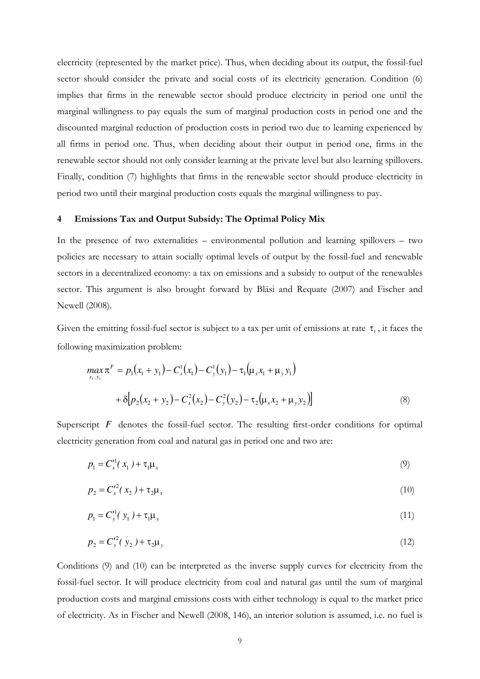electricity (represented by the market price). Thus, when deciding about its output, the fossil-fuel sector should consider the private and social costs of its electricity generation. Condition (6) implies that firms in the renewable sector should produce electricity in period one until the marginal willingness to pay equals the sum of marginal production costs in period one and the discounted marginal reduction of production costs in period two due to learning experienced by all firms in period one. Thus, when deciding about their output in period one, firms in the renewable sector should not only consider learning at the private level but also learning spillovers. Finally, condition (7) highlights that firms in the renewable sector should produce electricity in period two until their marginal production costs equals the marginal willingness to pay.

#### **4 Emissions Tax and Output Subsidy: The Optimal Policy Mix**

In the presence of two externalities – environmental pollution and learning spillovers – two policies are necessary to attain socially optimal levels of output by the fossil-fuel and renewable sectors in a decentralized economy: a tax on emissions and a subsidy to output of the renewables sector. This argument is also brought forward by Bläsi and Requate (2007) and Fischer and Newell (2008).

Given the emitting fossil-fuel sector is subject to a tax per unit of emissions at rate  $\tau_t$ , it faces the following maximization problem:

$$
\max_{x_i, y_i} \pi^F = p_1(x_1 + y_1) - C_x^1(x_1) - C_y^1(y_1) - \tau_1(\mu_x x_1 + \mu_y y_1)
$$
  
+  $\delta[p_2(x_2 + y_2) - C_x^2(x_2) - C_y^2(y_2) - \tau_2(\mu_x x_2 + \mu_y y_2)]$  (8)

Superscript *F* denotes the fossil-fuel sector. The resulting first-order conditions for optimal electricity generation from coal and natural gas in period one and two are:

$$
p_1 = C_x'^1(x_1) + \tau_1 \mu_x \tag{9}
$$

$$
p_2 = C_x'^2(x_2) + \tau_2 \mu_x \tag{10}
$$

$$
p_1 = C_y'^1(y_1) + \tau_1 \mu_y \tag{11}
$$

$$
p_2 = C_y^2(y_2) + \tau_2 \mu_y \tag{12}
$$

Conditions (9) and (10) can be interpreted as the inverse supply curves for electricity from the fossil-fuel sector. It will produce electricity from coal and natural gas until the sum of marginal production costs and marginal emissions costs with either technology is equal to the market price of electricity. As in Fischer and Newell (2008, 146), an interior solution is assumed, i.e. no fuel is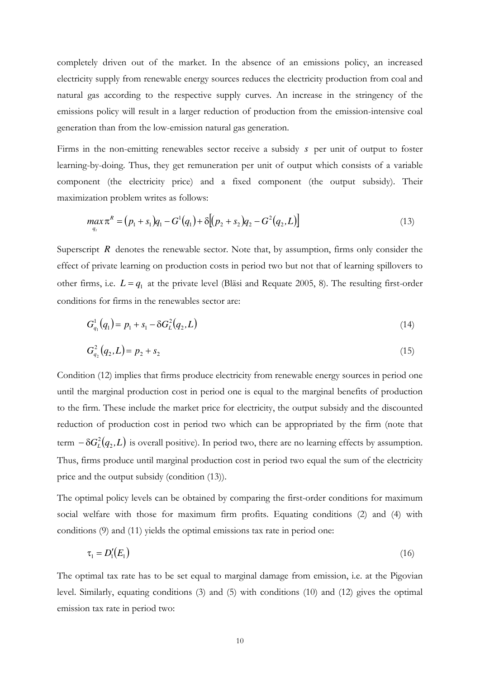completely driven out of the market. In the absence of an emissions policy, an increased electricity supply from renewable energy sources reduces the electricity production from coal and natural gas according to the respective supply curves. An increase in the stringency of the emissions policy will result in a larger reduction of production from the emission-intensive coal generation than from the low-emission natural gas generation.

Firms in the non-emitting renewables sector receive a subsidy *s* per unit of output to foster learning-by-doing. Thus, they get remuneration per unit of output which consists of a variable component (the electricity price) and a fixed component (the output subsidy). Their maximization problem writes as follows:

$$
\max_{q_1} \pi^R = (p_1 + s_1)q_1 - G^1(q_1) + \delta[(p_2 + s_2)q_2 - G^2(q_2, L)] \tag{13}
$$

Superscript  $R$  denotes the renewable sector. Note that, by assumption, firms only consider the effect of private learning on production costs in period two but not that of learning spillovers to other firms, i.e.  $L = q_1$  at the private level (Bläsi and Requate 2005, 8). The resulting first-order conditions for firms in the renewables sector are:

$$
G_{q_1}^1(q_1) = p_1 + s_1 - \delta G_L^2(q_2, L) \tag{14}
$$

$$
G_{q_2}^2(q_2, L) = p_2 + s_2 \tag{15}
$$

Condition (12) implies that firms produce electricity from renewable energy sources in period one until the marginal production cost in period one is equal to the marginal benefits of production to the firm. These include the market price for electricity, the output subsidy and the discounted reduction of production cost in period two which can be appropriated by the firm (note that term  $-\delta G_L^2(q_2, L)$  is overall positive). In period two, there are no learning effects by assumption. Thus, firms produce until marginal production cost in period two equal the sum of the electricity price and the output subsidy (condition (13)).

The optimal policy levels can be obtained by comparing the first-order conditions for maximum social welfare with those for maximum firm profits. Equating conditions (2) and (4) with conditions (9) and (11) yields the optimal emissions tax rate in period one:

$$
\tau_1 = D_1'(E_1) \tag{16}
$$

The optimal tax rate has to be set equal to marginal damage from emission, i.e. at the Pigovian level. Similarly, equating conditions (3) and (5) with conditions (10) and (12) gives the optimal emission tax rate in period two: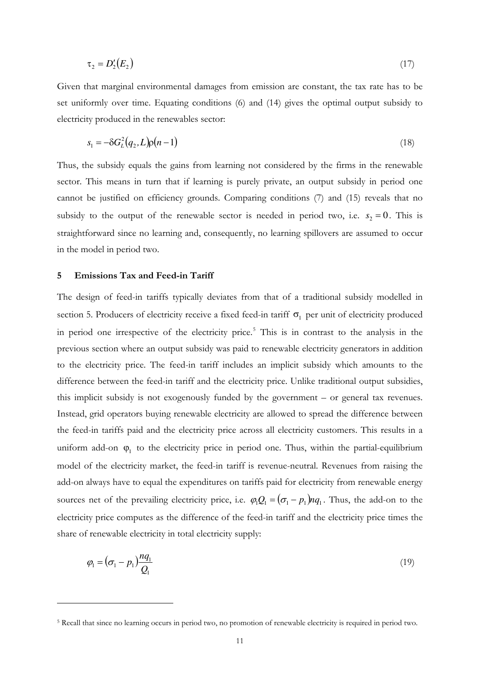$$
\tau_2 = D_2'(E_2) \tag{17}
$$

Given that marginal environmental damages from emission are constant, the tax rate has to be set uniformly over time. Equating conditions (6) and (14) gives the optimal output subsidy to electricity produced in the renewables sector:

$$
s_1 = -\delta G_L^2(q_2, L)\rho(n-1)
$$
\n(18)

Thus, the subsidy equals the gains from learning not considered by the firms in the renewable sector. This means in turn that if learning is purely private, an output subsidy in period one cannot be justified on efficiency grounds. Comparing conditions (7) and (15) reveals that no subsidy to the output of the renewable sector is needed in period two, i.e.  $s_2 = 0$ . This is straightforward since no learning and, consequently, no learning spillovers are assumed to occur in the model in period two.

#### **5 Emissions Tax and Feed-in Tariff**

-

The design of feed-in tariffs typically deviates from that of a traditional subsidy modelled in section 5. Producers of electricity receive a fixed feed-in tariff  $\sigma_1$  per unit of electricity produced in period one irrespective of the electricity price.<sup>[5](#page-11-0)</sup> This is in contrast to the analysis in the previous section where an output subsidy was paid to renewable electricity generators in addition to the electricity price. The feed-in tariff includes an implicit subsidy which amounts to the difference between the feed-in tariff and the electricity price. Unlike traditional output subsidies, this implicit subsidy is not exogenously funded by the government – or general tax revenues. Instead, grid operators buying renewable electricity are allowed to spread the difference between the feed-in tariffs paid and the electricity price across all electricity customers. This results in a uniform add-on  $\varphi_1$  to the electricity price in period one. Thus, within the partial-equilibrium model of the electricity market, the feed-in tariff is revenue-neutral. Revenues from raising the add-on always have to equal the expenditures on tariffs paid for electricity from renewable energy sources net of the prevailing electricity price, i.e.  $\varphi_1 Q_1 = (\sigma_1 - p_1) n q_1$ . Thus, the add-on to the electricity price computes as the difference of the feed-in tariff and the electricity price times the share of renewable electricity in total electricity supply:

$$
\varphi_1 = (\sigma_1 - p_1) \frac{n q_1}{Q_1} \tag{19}
$$

<span id="page-11-0"></span><sup>&</sup>lt;sup>5</sup> Recall that since no learning occurs in period two, no promotion of renewable electricity is required in period two.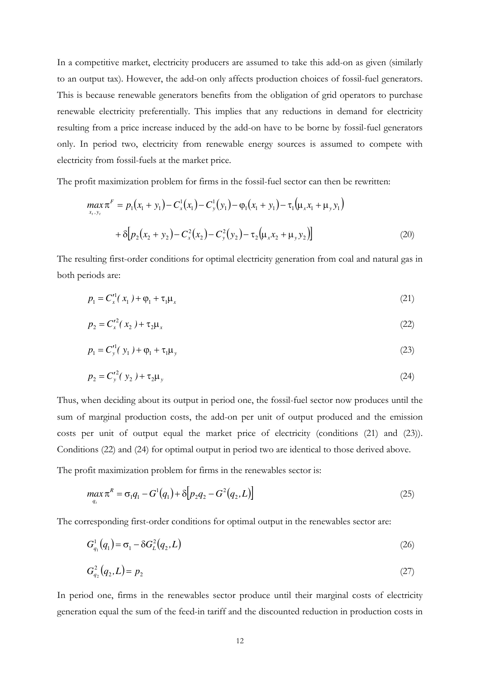In a competitive market, electricity producers are assumed to take this add-on as given (similarly to an output tax). However, the add-on only affects production choices of fossil-fuel generators. This is because renewable generators benefits from the obligation of grid operators to purchase renewable electricity preferentially. This implies that any reductions in demand for electricity resulting from a price increase induced by the add-on have to be borne by fossil-fuel generators only. In period two, electricity from renewable energy sources is assumed to compete with electricity from fossil-fuels at the market price.

The profit maximization problem for firms in the fossil-fuel sector can then be rewritten:

$$
\max_{x_1, y_1} \pi^F = p_1(x_1 + y_1) - C_x^1(x_1) - C_y^1(y_1) - \varphi_1(x_1 + y_1) - \tau_1(\mu_x x_1 + \mu_y y_1)
$$
  
+  $\delta[p_2(x_2 + y_2) - C_x^2(x_2) - C_y^2(y_2) - \tau_2(\mu_x x_2 + \mu_y y_2)]$  (20)

The resulting first-order conditions for optimal electricity generation from coal and natural gas in both periods are:

$$
p_1 = C_x'^1(x_1) + \varphi_1 + \tau_1 \mu_x \tag{21}
$$

$$
p_2 = C_x'^2(x_2) + \tau_2 \mu_x \tag{22}
$$

$$
p_1 = C_y'^1(y_1) + \varphi_1 + \tau_1 \mu_y \tag{23}
$$

$$
p_2 = C_y^2(y_2) + \tau_2 \mu_y \tag{24}
$$

Thus, when deciding about its output in period one, the fossil-fuel sector now produces until the sum of marginal production costs, the add-on per unit of output produced and the emission costs per unit of output equal the market price of electricity (conditions (21) and (23)). Conditions (22) and (24) for optimal output in period two are identical to those derived above.

The profit maximization problem for firms in the renewables sector is:

$$
\max_{q_1} \pi^R = \sigma_1 q_1 - G^1(q_1) + \delta[p_2 q_2 - G^2(q_2, L)] \tag{25}
$$

The corresponding first-order conditions for optimal output in the renewables sector are:

$$
G_{q_1}^1(q_1) = \sigma_1 - \delta G_L^2(q_2, L) \tag{26}
$$

$$
G_{q_2}^2(q_2, L) = p_2 \tag{27}
$$

In period one, firms in the renewables sector produce until their marginal costs of electricity generation equal the sum of the feed-in tariff and the discounted reduction in production costs in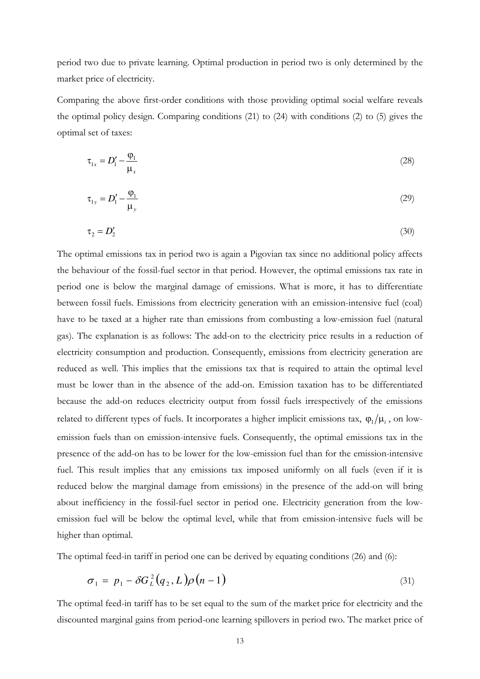period two due to private learning. Optimal production in period two is only determined by the market price of electricity.

Comparing the above first-order conditions with those providing optimal social welfare reveals the optimal policy design. Comparing conditions (21) to (24) with conditions (2) to (5) gives the optimal set of taxes:

$$
\tau_{1x} = D_1' - \frac{\varphi_1}{\mu_x} \tag{28}
$$

$$
\tau_{1y} = D_1' - \frac{\varphi_1}{\mu_y} \tag{29}
$$

$$
\tau_2 = D_2' \tag{30}
$$

The optimal emissions tax in period two is again a Pigovian tax since no additional policy affects the behaviour of the fossil-fuel sector in that period. However, the optimal emissions tax rate in period one is below the marginal damage of emissions. What is more, it has to differentiate between fossil fuels. Emissions from electricity generation with an emission-intensive fuel (coal) have to be taxed at a higher rate than emissions from combusting a low-emission fuel (natural gas). The explanation is as follows: The add-on to the electricity price results in a reduction of electricity consumption and production. Consequently, emissions from electricity generation are reduced as well. This implies that the emissions tax that is required to attain the optimal level must be lower than in the absence of the add-on. Emission taxation has to be differentiated because the add-on reduces electricity output from fossil fuels irrespectively of the emissions related to different types of fuels. It incorporates a higher implicit emissions tax,  $\varphi_1/\mu_i$ , on lowemission fuels than on emission-intensive fuels. Consequently, the optimal emissions tax in the presence of the add-on has to be lower for the low-emission fuel than for the emission-intensive fuel. This result implies that any emissions tax imposed uniformly on all fuels (even if it is reduced below the marginal damage from emissions) in the presence of the add-on will bring about inefficiency in the fossil-fuel sector in period one. Electricity generation from the lowemission fuel will be below the optimal level, while that from emission-intensive fuels will be higher than optimal.

The optimal feed-in tariff in period one can be derived by equating conditions (26) and (6):

$$
\sigma_1 = p_1 - \delta G_L^2(q_2, L)\rho(n-1) \tag{31}
$$

The optimal feed-in tariff has to be set equal to the sum of the market price for electricity and the discounted marginal gains from period-one learning spillovers in period two. The market price of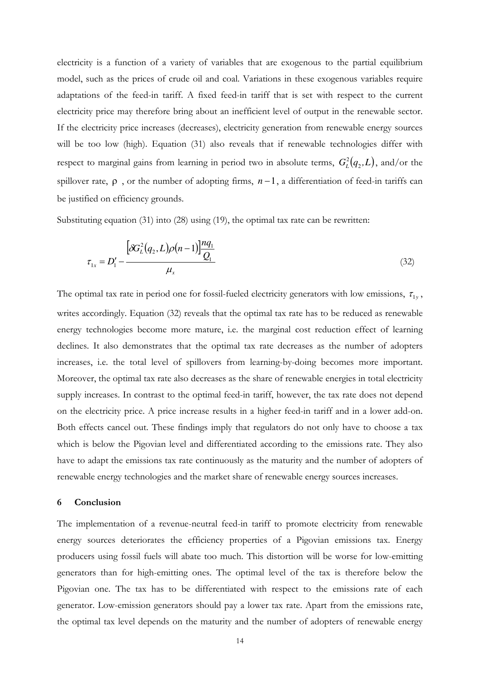electricity is a function of a variety of variables that are exogenous to the partial equilibrium model, such as the prices of crude oil and coal. Variations in these exogenous variables require adaptations of the feed-in tariff. A fixed feed-in tariff that is set with respect to the current electricity price may therefore bring about an inefficient level of output in the renewable sector. If the electricity price increases (decreases), electricity generation from renewable energy sources will be too low (high). Equation (31) also reveals that if renewable technologies differ with respect to marginal gains from learning in period two in absolute terms,  $G_L^2(q_2,L)$ , and/or the spillover rate,  $\rho$ , or the number of adopting firms,  $n-1$ , a differentiation of feed-in tariffs can be justified on efficiency grounds.

Substituting equation (31) into (28) using (19), the optimal tax rate can be rewritten:

$$
\tau_{1x} = D_1' - \frac{\left[\delta G_L^2(q_2, L)\rho(n-1)\right] \frac{nq_1}{Q_1}}{\mu_x} \tag{32}
$$

The optimal tax rate in period one for fossil-fueled electricity generators with low emissions,  $\tau_{1y}$ , writes accordingly. Equation (32) reveals that the optimal tax rate has to be reduced as renewable energy technologies become more mature, i.e. the marginal cost reduction effect of learning declines. It also demonstrates that the optimal tax rate decreases as the number of adopters increases, i.e. the total level of spillovers from learning-by-doing becomes more important. Moreover, the optimal tax rate also decreases as the share of renewable energies in total electricity supply increases. In contrast to the optimal feed-in tariff, however, the tax rate does not depend on the electricity price. A price increase results in a higher feed-in tariff and in a lower add-on. Both effects cancel out. These findings imply that regulators do not only have to choose a tax which is below the Pigovian level and differentiated according to the emissions rate. They also have to adapt the emissions tax rate continuously as the maturity and the number of adopters of renewable energy technologies and the market share of renewable energy sources increases.

#### **6 Conclusion**

The implementation of a revenue-neutral feed-in tariff to promote electricity from renewable energy sources deteriorates the efficiency properties of a Pigovian emissions tax. Energy producers using fossil fuels will abate too much. This distortion will be worse for low-emitting generators than for high-emitting ones. The optimal level of the tax is therefore below the Pigovian one. The tax has to be differentiated with respect to the emissions rate of each generator. Low-emission generators should pay a lower tax rate. Apart from the emissions rate, the optimal tax level depends on the maturity and the number of adopters of renewable energy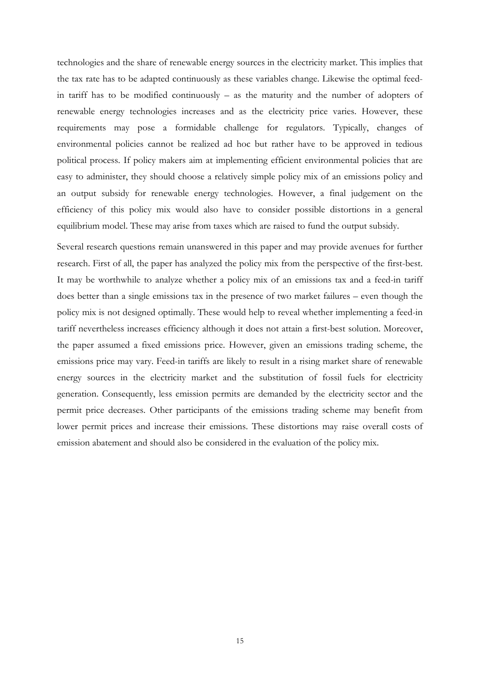technologies and the share of renewable energy sources in the electricity market. This implies that the tax rate has to be adapted continuously as these variables change. Likewise the optimal feedin tariff has to be modified continuously – as the maturity and the number of adopters of renewable energy technologies increases and as the electricity price varies. However, these requirements may pose a formidable challenge for regulators. Typically, changes of environmental policies cannot be realized ad hoc but rather have to be approved in tedious political process. If policy makers aim at implementing efficient environmental policies that are easy to administer, they should choose a relatively simple policy mix of an emissions policy and an output subsidy for renewable energy technologies. However, a final judgement on the efficiency of this policy mix would also have to consider possible distortions in a general equilibrium model. These may arise from taxes which are raised to fund the output subsidy.

Several research questions remain unanswered in this paper and may provide avenues for further research. First of all, the paper has analyzed the policy mix from the perspective of the first-best. It may be worthwhile to analyze whether a policy mix of an emissions tax and a feed-in tariff does better than a single emissions tax in the presence of two market failures – even though the policy mix is not designed optimally. These would help to reveal whether implementing a feed-in tariff nevertheless increases efficiency although it does not attain a first-best solution. Moreover, the paper assumed a fixed emissions price. However, given an emissions trading scheme, the emissions price may vary. Feed-in tariffs are likely to result in a rising market share of renewable energy sources in the electricity market and the substitution of fossil fuels for electricity generation. Consequently, less emission permits are demanded by the electricity sector and the permit price decreases. Other participants of the emissions trading scheme may benefit from lower permit prices and increase their emissions. These distortions may raise overall costs of emission abatement and should also be considered in the evaluation of the policy mix.